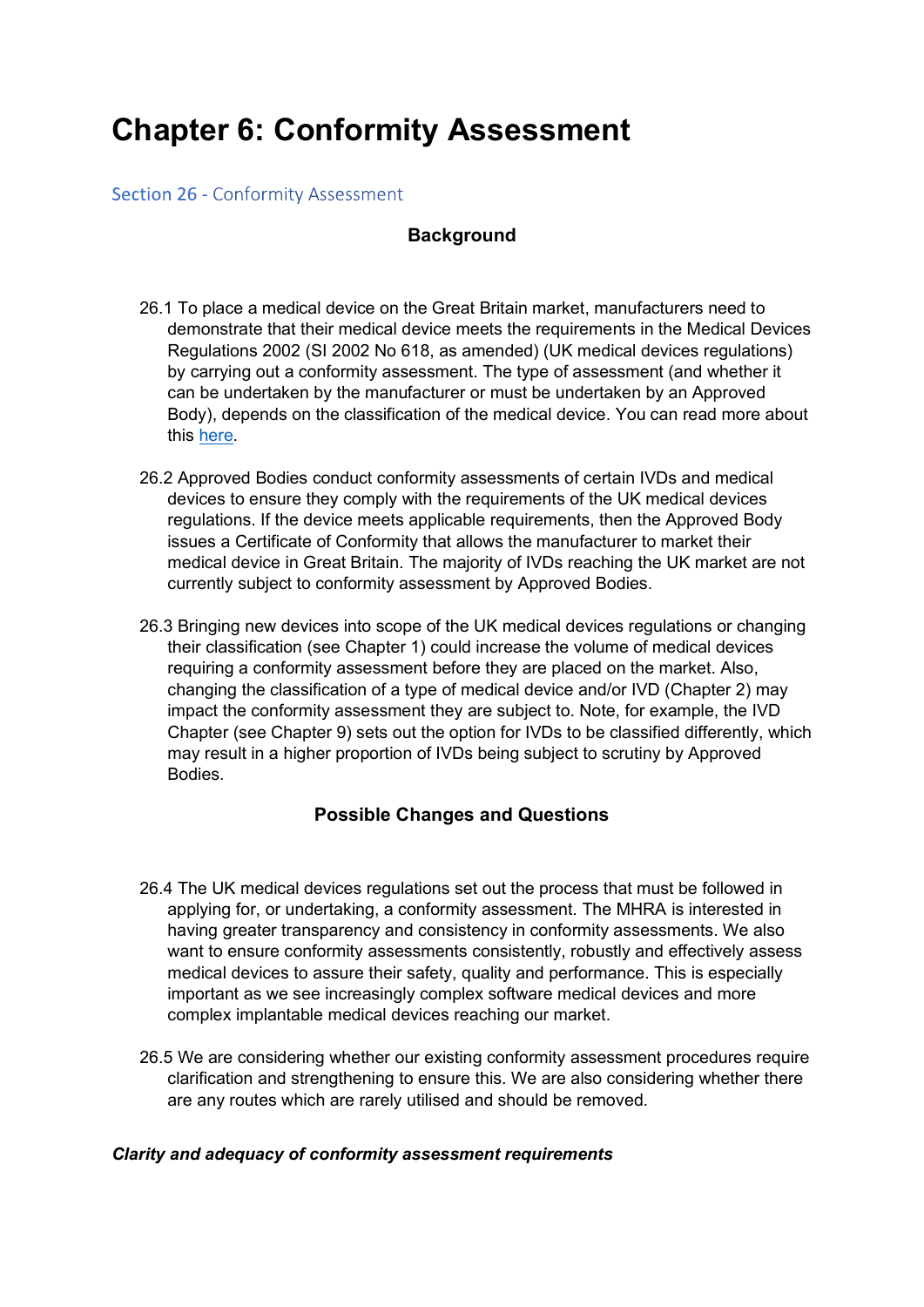# Chapter 6: Conformity Assessment

### **Section 26 - Conformity Assessment**

### **Background**

- 26.1 To place a medical device on the Great Britain market, manufacturers need to demonstrate that their medical device meets the requirements in the Medical Devices Regulations 2002 (SI 2002 No 618, as amended) (UK medical devices regulations) by carrying out a conformity assessment. The type of assessment (and whether it can be undertaken by the manufacturer or must be undertaken by an Approved Body), depends on the classification of the medical device. You can read more about this <u>here</u>.<br>26.2 Approved Bodies conduct conformity assessments of certain IVDs and medical
- devices to ensure they comply with the requirements of the UK medical devices regulations. If the device meets applicable requirements, then the Approved Body issues a Certificate of Conformity that allows the manufacturer to market their medical device in Great Britain. The majority of IVDs reaching the UK market are not currently subject to conformity assessment by Approved Bodies.
- 26.3 Bringing new devices into scope of the UK medical devices regulations or changing their classification (see Chapter 1) could increase the volume of medical devices requiring a conformity assessment before they are placed on the market. Also, changing the classification of a type of medical device and/or IVD (Chapter 2) may impact the conformity assessment they are subject to. Note, for example, the IVD Chapter (see Chapter 9) sets out the option for IVDs to be classified differently, which may result in a higher proportion of IVDs being subject to scrutiny by Approved Bodies.

# Possible Changes and Questions

- 26.4 The UK medical devices regulations set out the process that must be followed in applying for, or undertaking, a conformity assessment. The MHRA is interested in having greater transparency and consistency in conformity assessments. We also want to ensure conformity assessments consistently, robustly and effectively assess medical devices to assure their safety, quality and performance. This is especially important as we see increasingly complex software medical devices and more complex implantable medical devices reaching our market.
- 26.5 We are considering whether our existing conformity assessment procedures require clarification and strengthening to ensure this. We are also considering whether there are any routes which are rarely utilised and should be removed.

#### Clarity and adequacy of conformity assessment requirements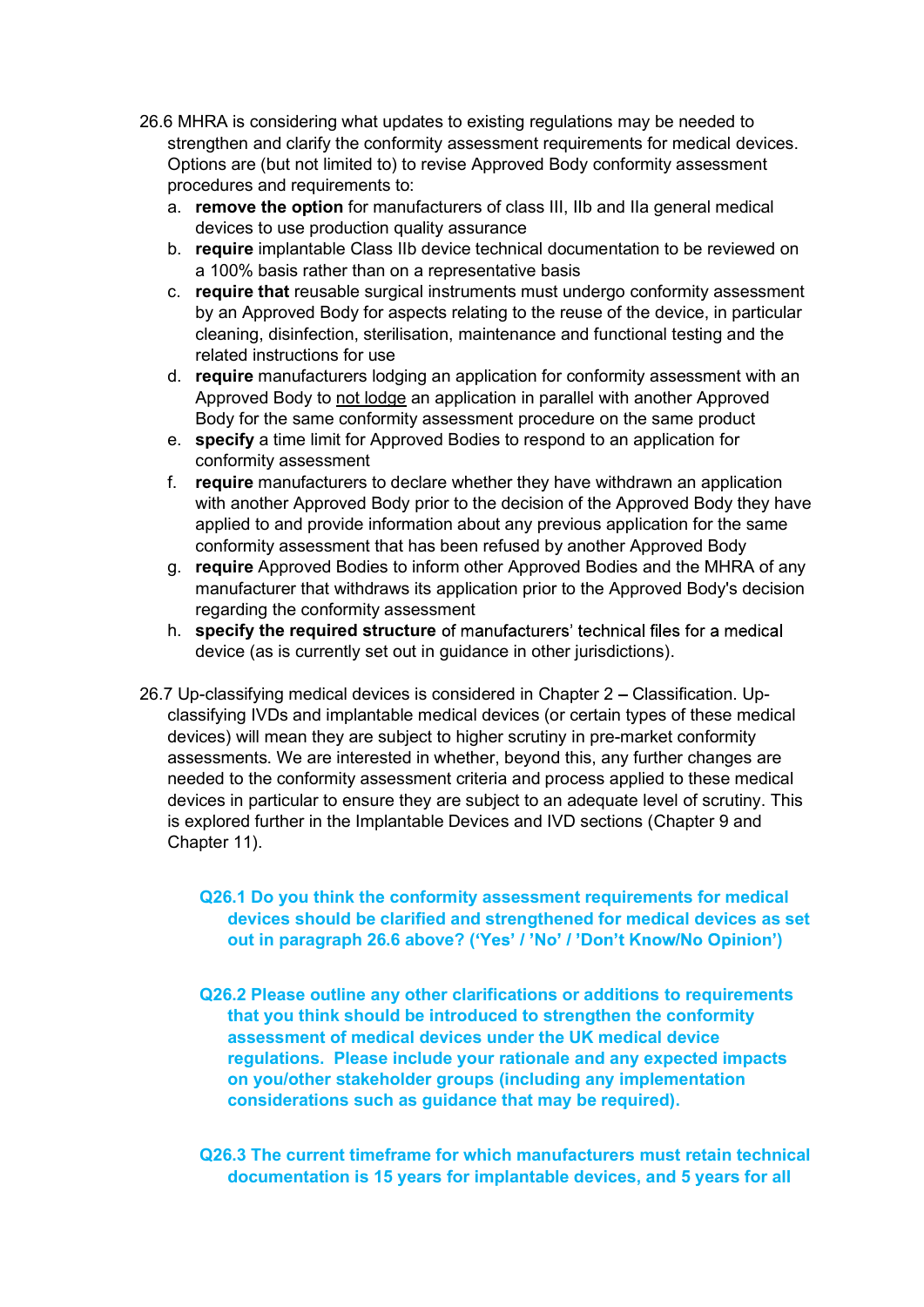- 26.6 MHRA is considering what updates to existing regulations may be needed to<br>strengthen and clarify the conformity assessment requirements for medical devices.<br>Options are (but not limited to) to revise Approved Body con strengthen and clarify the conformity assessment requirements for medical devices. Options are (but not limited to) to revise Approved Body conformity assessment procedures and requirements to:
	- a. remove the option for manufacturers of class III, IIb and IIa general medical devices to use production quality assurance
	- b. **require** implantable Class IIb device technical documentation to be reviewed on a 100% basis rather than on a representative basis
	- c. require that reusable surgical instruments must undergo conformity assessment by an Approved Body for aspects relating to the reuse of the device, in particular cleaning, disinfection, sterilisation, maintenance and functional testing and the related instructions for use
	- d. require manufacturers lodging an application for conformity assessment with an Approved Body to not lodge an application in parallel with another Approved Body for the same conformity assessment procedure on the same product
	- e. specify a time limit for Approved Bodies to respond to an application for conformity assessment
	- f. require manufacturers to declare whether they have withdrawn an application with another Approved Body prior to the decision of the Approved Body they have applied to and provide information about any previous application for the same conformity assessment that has been refused by another Approved Body
	- g. require Approved Bodies to inform other Approved Bodies and the MHRA of any manufacturer that withdraws its application prior to the Approved Body's decision regarding the conformity assessment
	- h. specify the required structure of manufacturers' technical files for a medical device (as is currently set out in guidance in other jurisdictions).
- 26.7 Up-classifying medical devices is considered in Chapter 2 Classification. Upclassifying IVDs and implantable medical devices (or certain types of these medical devices) will mean they are subject to higher scrutiny in pre-market conformity assessments. We are interested in whether, beyond this, any further changes are needed to the conformity assessment criteria and process applied to these medical devices in particular to ensure they are subject to an adequate level of scrutiny. This is explored further in the Implantable Devices and IVD sections (Chapter 9 and Chapter 11).

#### Q26.1 Do you think the conformity assessment requirements for medical devices should be clarified and strengthened for medical devices as set out in paragraph 26.6 above? ('Yes' / 'No' / 'Don't Know/No Opinion')

- Q26.2 Please outline any other clarifications or additions to requirements that you think should be introduced to strengthen the conformity assessment of medical devices under the UK medical device regulations. Please include your rationale and any expected impacts on you/other stakeholder groups (including any implementation considerations such as guidance that may be required).
- Q26.3 The current timeframe for which manufacturers must retain technical documentation is 15 years for implantable devices, and 5 years for all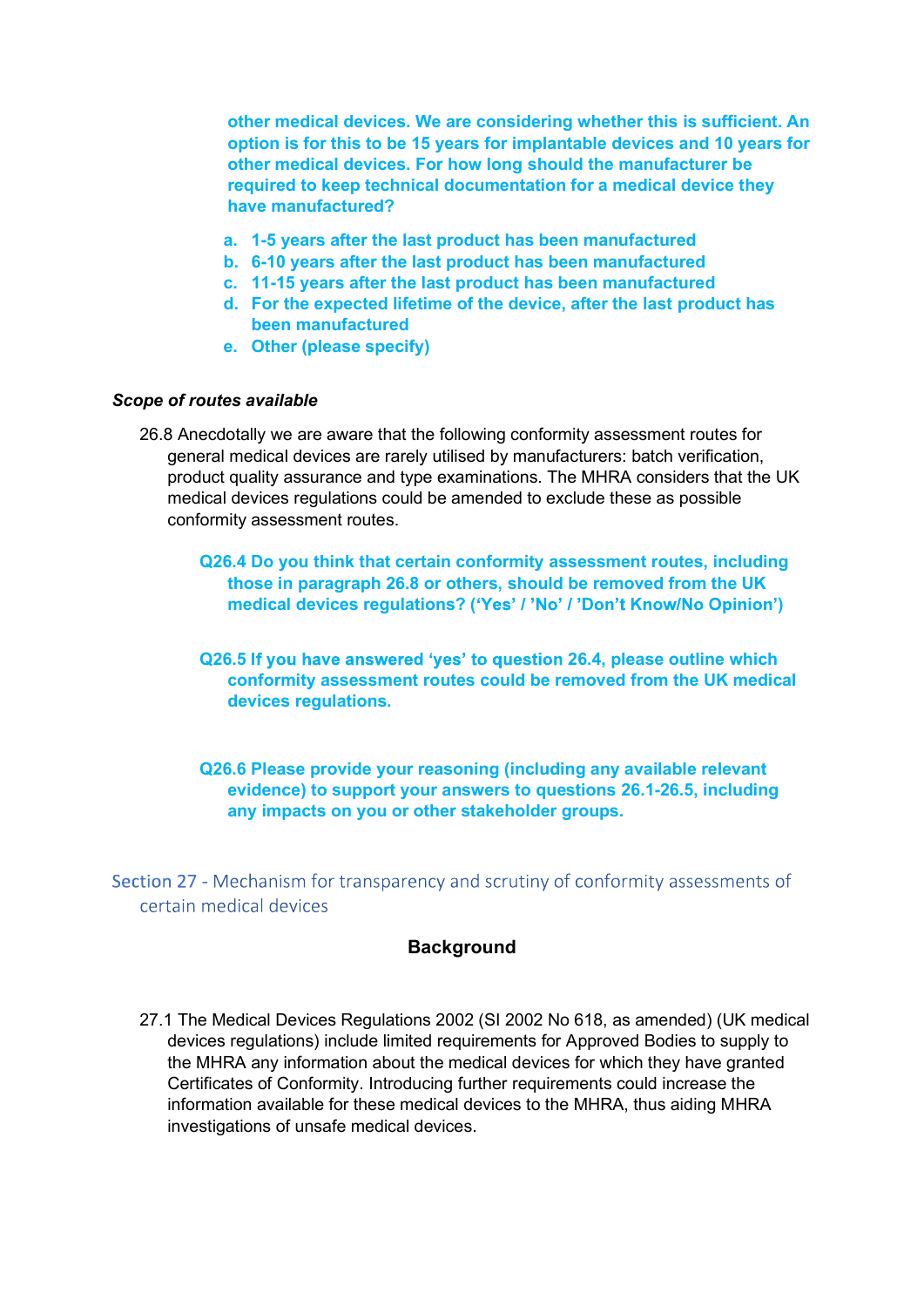other medical devices. We are considering whether this is sufficient. An option is for this to be 15 years for implantable devices and 10 years for other medical devices. For how long should the manufacturer be required to keep technical documentation for a medical device they have manufactured?

- a. 1-5 years after the last product has been manufactured
- b. 6-10 years after the last product has been manufactured
- c. 11-15 years after the last product has been manufactured
- d. For the expected lifetime of the device, after the last product has been manufactured
- e. Other (please specify)

#### Scope of routes available

- 26.8 Anecdotally we are aware that the following conformity assessment routes for general medical devices are rarely utilised by manufacturers: batch verification, product quality assurance and type examinations. The MHRA considers that the UK medical devices regulations could be amended to exclude these as possible conformity assessment routes.
	- Q26.4 Do you think that certain conformity assessment routes, including those in paragraph 26.8 or others, should be removed from the UK medical devices regulations? ('Yes' / 'No' / 'Don't Know/No Opinion')
	- Q26.5 If you have answered 'yes' to question 26.4, please outline which conformity assessment routes could be removed from the UK medical devices regulations.
	- Q26.6 Please provide your reasoning (including any available relevant evidence) to support your answers to questions 26.1-26.5, including any impacts on you or other stakeholder groups.
- Section 27 Mechanism for transparency and scrutiny of conformity assessments of certain medical devices

#### **Background**

27.1 The Medical Devices Regulations 2002 (SI 2002 No 618, as amended) (UK medical devices regulations) include limited requirements for Approved Bodies to supply to the MHRA any information about the medical devices for which they have granted Certificates of Conformity. Introducing further requirements could increase the information available for these medical devices to the MHRA, thus aiding MHRA investigations of unsafe medical devices.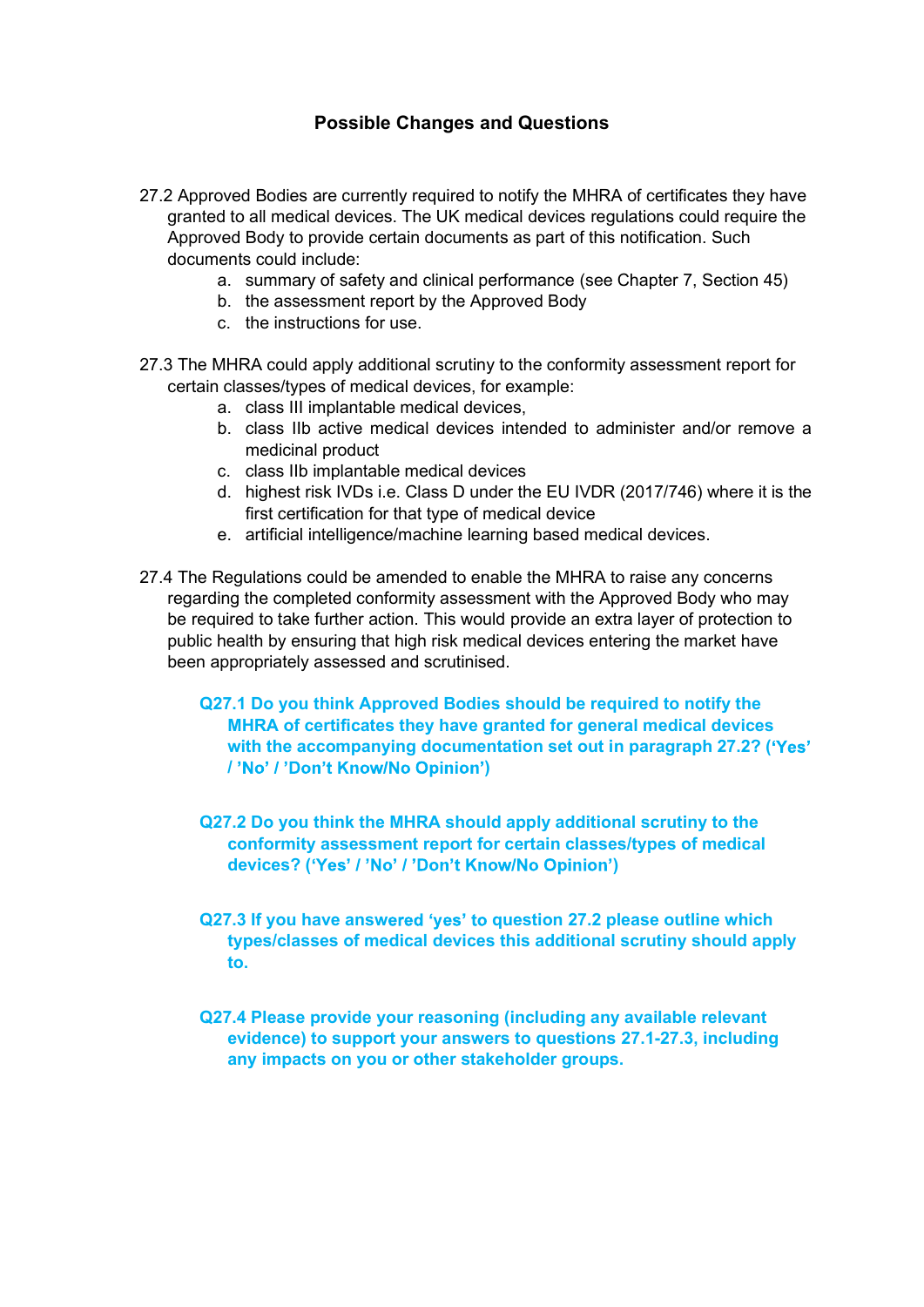# Possible Changes and Questions

- 27.2 Approved Bodies are currently required to notify the MHRA of certificates they have granted to all medical devices. The UK medical devices regulations could require the Approved Body to provide certain documents as part of this notification. Such documents could include:
	- a. summary of safety and clinical performance (see Chapter 7, Section 45)
	- b. the assessment report by the Approved Body
	- c. the instructions for use.
- 27.3 The MHRA could apply additional scrutiny to the conformity assessment report for certain classes/types of medical devices, for example:
	- a. class III implantable medical devices,
	- b. class IIb active medical devices intended to administer and/or remove a medicinal product
	- c. class IIb implantable medical devices
	- d. highest risk IVDs i.e. Class D under the EU IVDR (2017/746) where it is the first certification for that type of medical device
	- e. artificial intelligence/machine learning based medical devices.
- 27.4 The Regulations could be amended to enable the MHRA to raise any concerns regarding the completed conformity assessment with the Approved Body who may be required to take further action. This would provide an extra layer of protection to public health by ensuring that high risk medical devices entering the market have been appropriately assessed and scrutinised.
	- Q27.1 Do you think Approved Bodies should be required to notify the MHRA of certificates they have granted for general medical devices with the accompanying documentation set out in paragraph 27.2? ('Yes' /'No' /'Don't Know/No Opinion')
	- Q27.2 Do you think the MHRA should apply additional scrutiny to the conformity assessment report for certain classes/types of medical devices? ('Yes' / 'No' / 'Don't Know/No Opinion')
	- Q27.3 If you have answered 'yes' to question 27.2 please outline which types/classes of medical devices this additional scrutiny should apply to.
	- Q27.4 Please provide your reasoning (including any available relevant evidence) to support your answers to questions 27.1-27.3, including any impacts on you or other stakeholder groups.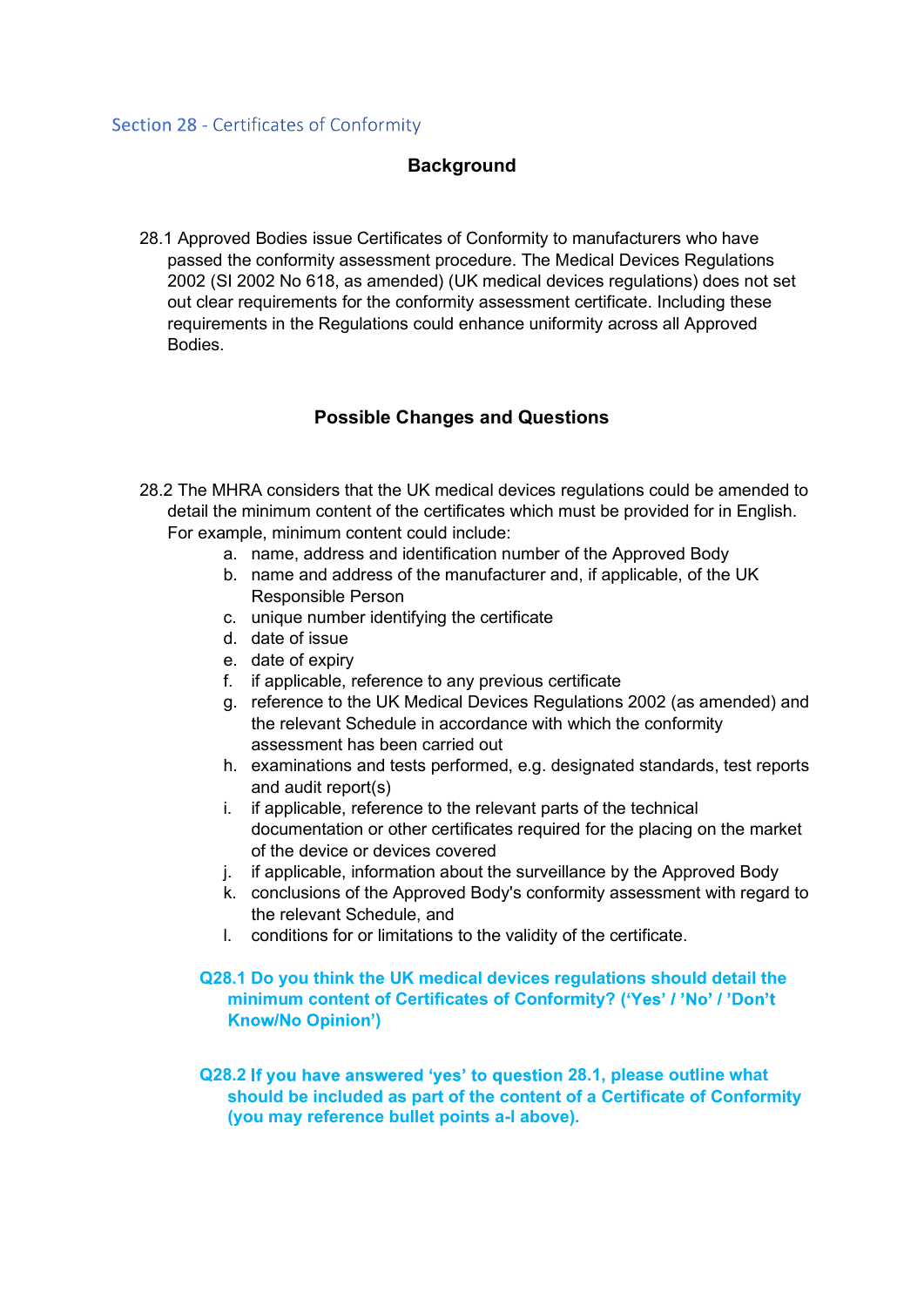#### **Background**

28.1 Approved Bodies issue Certificates of Conformity to manufacturers who have passed the conformity assessment procedure. The Medical Devices Regulations 2002 (SI 2002 No 618, as amended) (UK medical devices regulations) does not set out clear requirements for the conformity assessment certificate. Including these requirements in the Regulations could enhance uniformity across all Approved Bodies.

#### Possible Changes and Questions

- 28.2 The MHRA considers that the UK medical devices regulations could be amended to detail the minimum content of the certificates which must be provided for in English. For example, minimum content could include:
	- a. name, address and identification number of the Approved Body
	- b. name and address of the manufacturer and, if applicable, of the UK Responsible Person
	- c. unique number identifying the certificate
	- d. date of issue
	- e. date of expiry
	- f. if applicable, reference to any previous certificate
	- g. reference to the UK Medical Devices Regulations 2002 (as amended) and the relevant Schedule in accordance with which the conformity assessment has been carried out
	- h. examinations and tests performed, e.g. designated standards, test reports and audit report(s)
	- i. if applicable, reference to the relevant parts of the technical documentation or other certificates required for the placing on the market of the device or devices covered
	- j. if applicable, information about the surveillance by the Approved Body
	- k. conclusions of the Approved Body's conformity assessment with regard to the relevant Schedule, and
	- l. conditions for or limitations to the validity of the certificate.

#### Q28.1 Do you think the UK medical devices regulations should detail the minimum content of Certificates of Conformity? ('Yes' / 'No' / 'Don't )

Q28.2 If you have answered 'yes' to question 28.1, please outline what should be included as part of the content of a Certificate of Conformity (you may reference bullet points a-l above).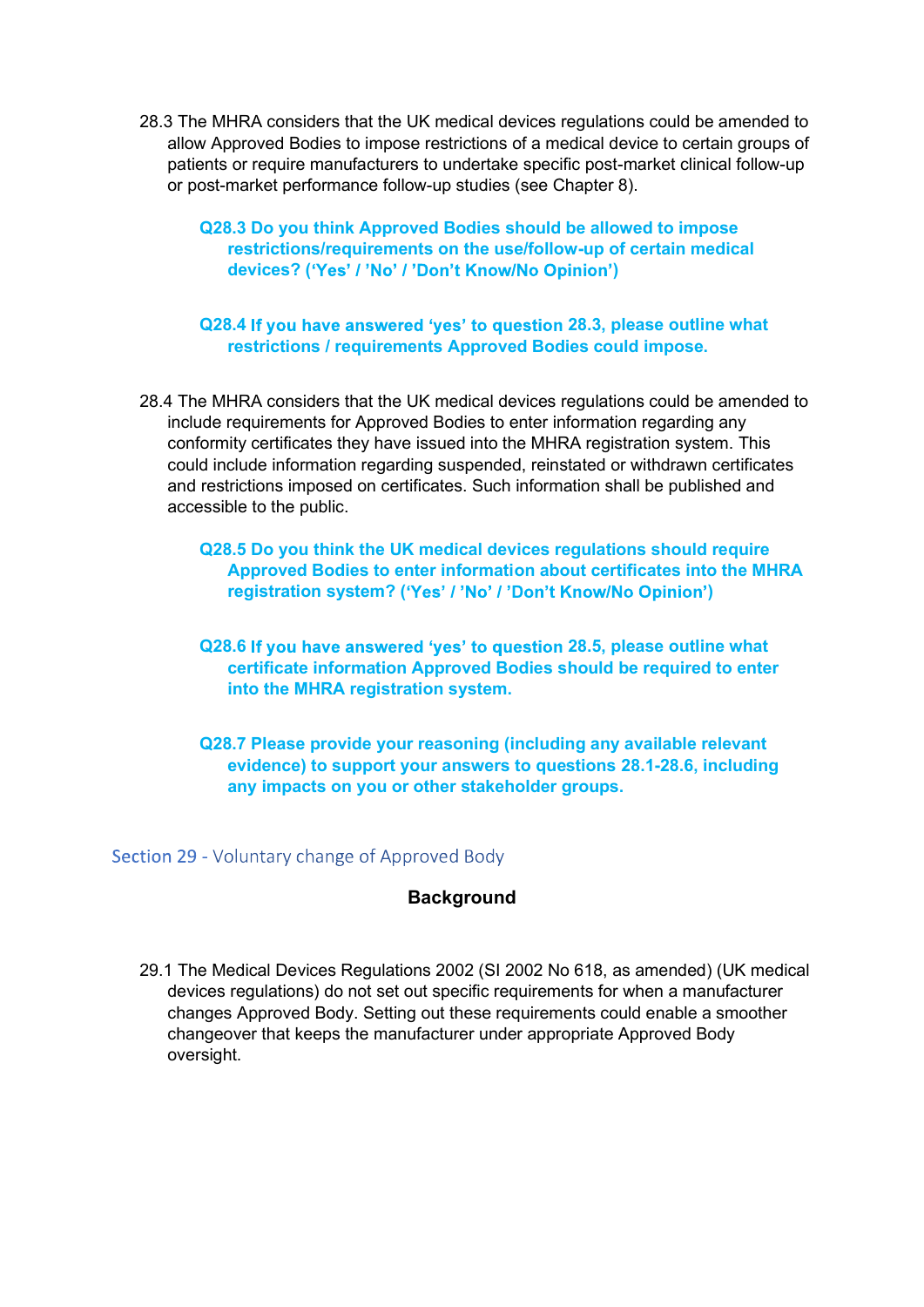- 28.3 The MHRA considers that the UK medical devices regulations could be amended to<br>allow Approved Bodies to impose restrictions of a medical device to certain groups of<br>patients or require manufacturers to undertake speci allow Approved Bodies to impose restrictions of a medical device to certain groups of patients or require manufacturers to undertake specific post-market clinical follow-up or post-market performance follow-up studies (see Chapter 8).
	- Q28.3 Do you think Approved Bodies should be allowed to impose restrictions/requirements on the use/follow-up of certain medical devices? ('Yes' / 'No' / 'Don't Know/No Opinion')

Q28.4 If you have answered 'yes' to question 28.3, please outline what restrictions / requirements Approved Bodies could impose.

- 28.4 The MHRA considers that the UK medical devices regulations could be amended to include requirements for Approved Bodies to enter information regarding any conformity certificates they have issued into the MHRA registration system. This could include information regarding suspended, reinstated or withdrawn certificates and restrictions imposed on certificates. Such information shall be published and accessible to the public.
	- Q28.5 Do you think the UK medical devices regulations should require Approved Bodies to enter information about certificates into the MHRA registration system? ('Yes' / 'No' / 'Don't Know/No Opinion')
	- Q28.6 If you have answered 'yes' to question 28.5, please outline what certificate information Approved Bodies should be required to enter into the MHRA registration system.
	- Q28.7 Please provide your reasoning (including any available relevant evidence) to support your answers to questions 28.1-28.6, including any impacts on you or other stakeholder groups.

Section 29 - Voluntary change of Approved Body

#### **Background**

29.1 The Medical Devices Regulations 2002 (SI 2002 No 618, as amended) (UK medical devices regulations) do not set out specific requirements for when a manufacturer changes Approved Body. Setting out these requirements could enable a smoother changeover that keeps the manufacturer under appropriate Approved Body oversight.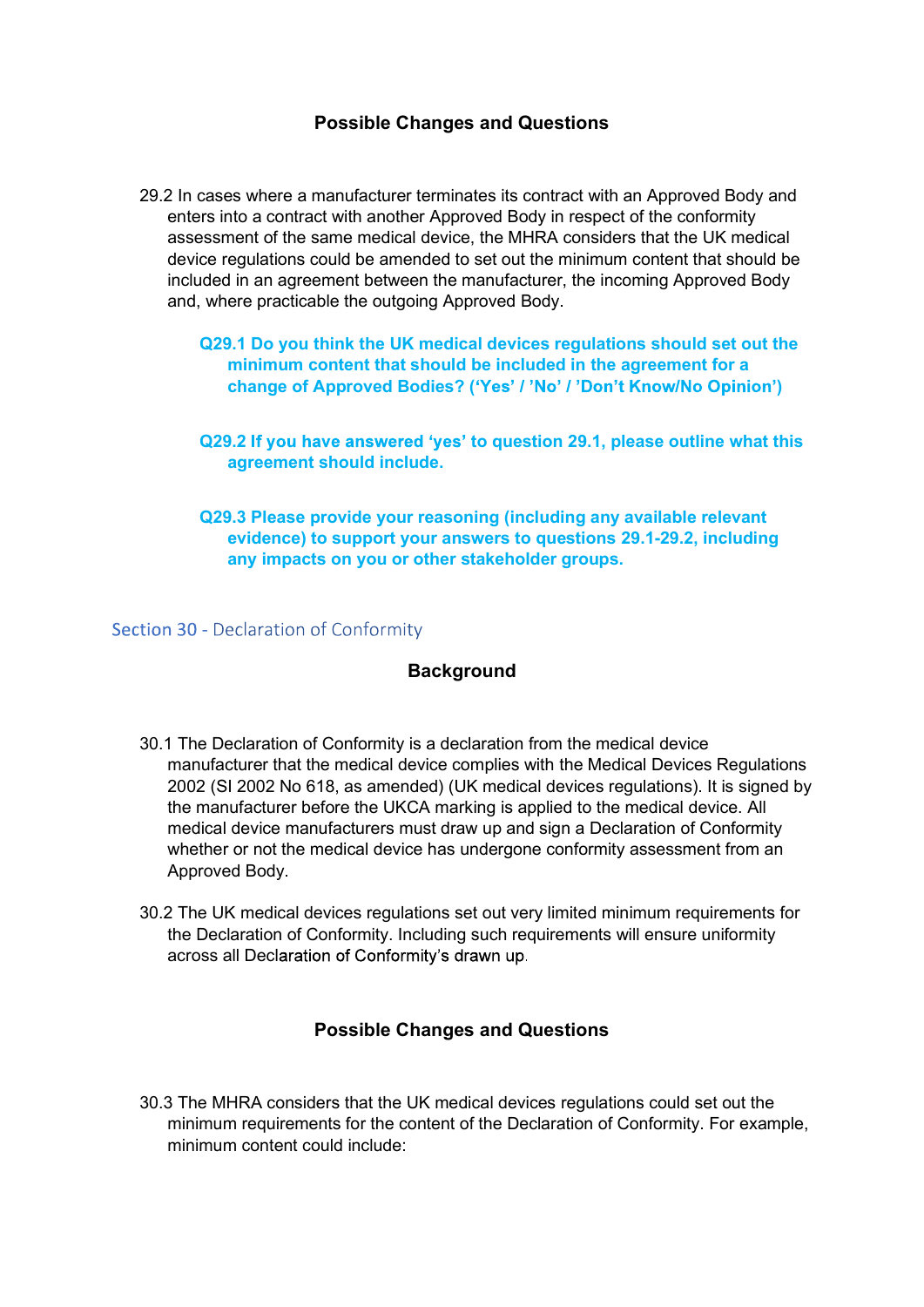# Possible Changes and Questions

- 29.2 In cases where a manufacturer terminates its contract with an Approved Body and enters into a contract with another Approved Body in respect of the conformity assessment of the same medical device, the MHRA considers that the UK medical device regulations could be amended to set out the minimum content that should be included in an agreement between the manufacturer, the incoming Approved Body and, where practicable the outgoing Approved Body.
	- Q29.1 Do you think the UK medical devices regulations should set out the minimum content that should be included in the agreement for a change of Approved Bodies? ('Yes' / 'No' / 'Don't Know/No Opinion')
	- Q29.2 If you have answered 'yes' to question 29.1, please outline what this agreement should include.
	- Q29.3 Please provide your reasoning (including any available relevant evidence) to support your answers to questions 29.1-29.2, including any impacts on you or other stakeholder groups.

Section 30 - Declaration of Conformity

# **Background**

- 30.1 The Declaration of Conformity is a declaration from the medical device manufacturer that the medical device complies with the Medical Devices Regulations 2002 (SI 2002 No 618, as amended) (UK medical devices regulations). It is signed by the manufacturer before the UKCA marking is applied to the medical device. All medical device manufacturers must draw up and sign a Declaration of Conformity whether or not the medical device has undergone conformity assessment from an Approved Body.
- 30.2 The UK medical devices regulations set out very limited minimum requirements for the Declaration of Conformity. Including such requirements will ensure uniformity across all Declaration of Conformity's drawn up.

# Possible Changes and Questions

30.3 The MHRA considers that the UK medical devices regulations could set out the minimum requirements for the content of the Declaration of Conformity. For example, minimum content could include: